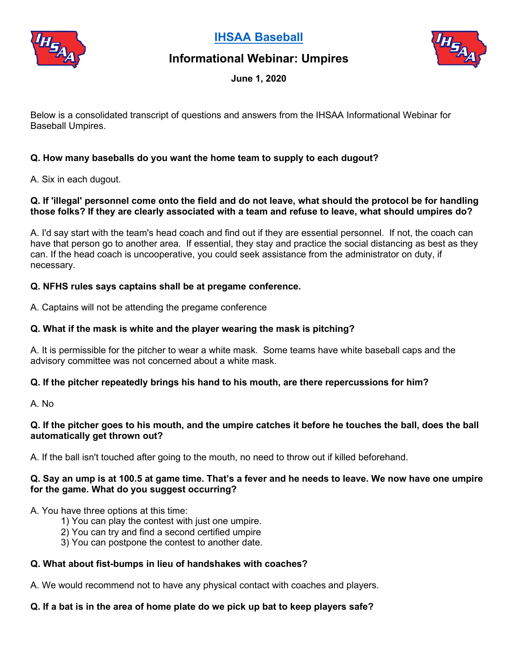

**[IHSAA Baseball](http://www.iahsaa.org/baseball)**





**June 1, 2020**

Below is a consolidated transcript of questions and answers from the IHSAA Informational Webinar for Baseball Umpires.

### **Q. How many baseballs do you want the home team to supply to each dugout?**

A. Six in each dugout.

#### **Q. If 'illegal' personnel come onto the field and do not leave, what should the protocol be for handling those folks? If they are clearly associated with a team and refuse to leave, what should umpires do?**

A. I'd say start with the team's head coach and find out if they are essential personnel. If not, the coach can have that person go to another area. If essential, they stay and practice the social distancing as best as they can. If the head coach is uncooperative, you could seek assistance from the administrator on duty, if necessary.

### **Q. NFHS rules says captains shall be at pregame conference.**

A. Captains will not be attending the pregame conference

#### **Q. What if the mask is white and the player wearing the mask is pitching?**

A. It is permissible for the pitcher to wear a white mask. Some teams have white baseball caps and the advisory committee was not concerned about a white mask.

### **Q. If the pitcher repeatedly brings his hand to his mouth, are there repercussions for him?**

A. No

#### **Q. If the pitcher goes to his mouth, and the umpire catches it before he touches the ball, does the ball automatically get thrown out?**

A. If the ball isn't touched after going to the mouth, no need to throw out if killed beforehand.

#### **Q. Say an ump is at 100.5 at game time. That's a fever and he needs to leave. We now have one umpire for the game. What do you suggest occurring?**

A. You have three options at this time:

- 1) You can play the contest with just one umpire.
- 2) You can try and find a second certified umpire
- 3) You can postpone the contest to another date.

### **Q. What about fist-bumps in lieu of handshakes with coaches?**

A. We would recommend not to have any physical contact with coaches and players.

### **Q. If a bat is in the area of home plate do we pick up bat to keep players safe?**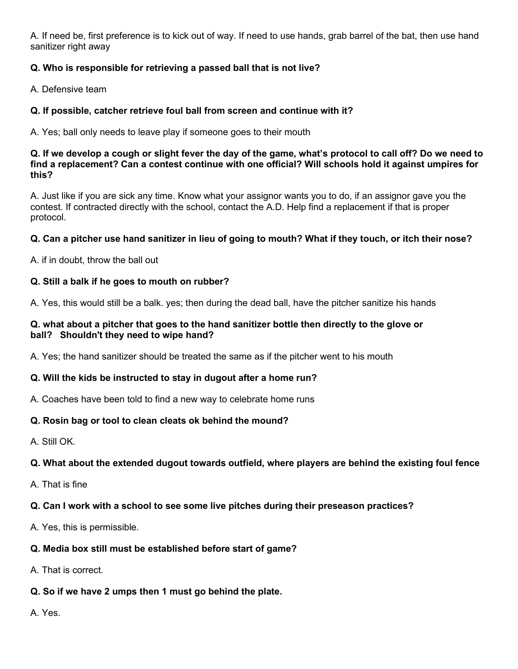A. If need be, first preference is to kick out of way. If need to use hands, grab barrel of the bat, then use hand sanitizer right away

## **Q. Who is responsible for retrieving a passed ball that is not live?**

A. Defensive team

### **Q. If possible, catcher retrieve foul ball from screen and continue with it?**

A. Yes; ball only needs to leave play if someone goes to their mouth

#### **Q. If we develop a cough or slight fever the day of the game, what's protocol to call off? Do we need to find a replacement? Can a contest continue with one official? Will schools hold it against umpires for this?**

A. Just like if you are sick any time. Know what your assignor wants you to do, if an assignor gave you the contest. If contracted directly with the school, contact the A.D. Help find a replacement if that is proper protocol.

### **Q. Can a pitcher use hand sanitizer in lieu of going to mouth? What if they touch, or itch their nose?**

A. if in doubt, throw the ball out

### **Q. Still a balk if he goes to mouth on rubber?**

A. Yes, this would still be a balk. yes; then during the dead ball, have the pitcher sanitize his hands

#### **Q. what about a pitcher that goes to the hand sanitizer bottle then directly to the glove or ball? Shouldn't they need to wipe hand?**

A. Yes; the hand sanitizer should be treated the same as if the pitcher went to his mouth

### **Q. Will the kids be instructed to stay in dugout after a home run?**

A. Coaches have been told to find a new way to celebrate home runs

### **Q. Rosin bag or tool to clean cleats ok behind the mound?**

A. Still OK.

### **Q. What about the extended dugout towards outfield, where players are behind the existing foul fence**

A. That is fine

### **Q. Can I work with a school to see some live pitches during their preseason practices?**

A. Yes, this is permissible.

### **Q. Media box still must be established before start of game?**

A. That is correct.

# **Q. So if we have 2 umps then 1 must go behind the plate.**

A. Yes.